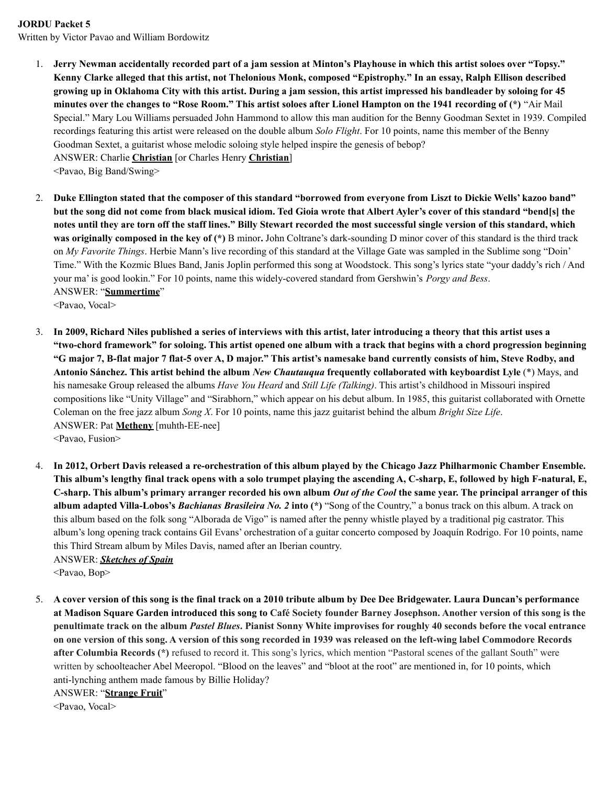## **JORDU Packet 5**

Written by Victor Pavao and William Bordowitz

1. Jerry Newman accidentally recorded part of a jam session at Minton's Playhouse in which this artist soloes over "Topsy." Kenny Clarke alleged that this artist, not Thelonious Monk, composed "Epistrophy." In an essay, Ralph Ellison described growing up in Oklahoma City with this artist. During a jam session, this artist impressed his bandleader by soloing for 45 minutes over the changes to "Rose Room." This artist soloes after Lionel Hampton on the 1941 recording of (\*) "Air Mail Special." Mary Lou Williams persuaded John Hammond to allow this man audition for the Benny Goodman Sextet in 1939. Compiled recordings featuring this artist were released on the double album *Solo Flight*. For 10 points, name this member of the Benny Goodman Sextet, a guitarist whose melodic soloing style helped inspire the genesis of bebop? ANSWER: Charlie **Christian** [or Charles Henry **Christian**]

<Pavao, Big Band/Swing>

2. Duke Ellington stated that the composer of this standard "borrowed from everyone from Liszt to Dickie Wells' kazoo band" but the song did not come from black musical idiom. Ted Gioia wrote that Albert Ayler's cover of this standard "bend[s] the notes until they are torn off the staff lines." Billy Stewart recorded the most successful single version of this standard, which **was originally composed in the key of (\*)** B minor**.** John Coltrane's dark-sounding D minor cover of this standard is the third track on *My Favorite Things*. Herbie Mann's live recording of this standard at the Village Gate was sampled in the Sublime song "Doin' Time." With the Kozmic Blues Band, Janis Joplin performed this song at Woodstock. This song's lyrics state "your daddy's rich / And your ma' is good lookin." For 10 points, name this widely-covered standard from Gershwin's *Porgy and Bess*. ANSWER: "**Summertime**"

<Pavao, Vocal>

- 3. In 2009, Richard Niles published a series of interviews with this artist, later introducing a theory that this artist uses a "two-chord framework" for soloing. This artist opened one album with a track that begins with a chord progression beginning "G major 7, B-flat major 7 flat-5 over A, D major." This artist's namesake band currently consists of him, Steve Rodby, and **Antonio Sánchez. This artist behind the album** *New Chautauqua* **frequently collaborated with keyboardist Lyle** (\*) Mays, and his namesake Group released the albums *Have You Heard* and *Still Life (Talking)*. This artist's childhood in Missouri inspired compositions like "Unity Village" and "Sirabhorn," which appear on his debut album. In 1985, this guitarist collaborated with Ornette Coleman on the free jazz album *Song X*. For 10 points, name this jazz guitarist behind the album *Bright Size Life*. ANSWER: Pat **Metheny** [muhth-EE-nee] <Pavao, Fusion>
- 4. In 2012, Orbert Davis released a re-orchestration of this album played by the Chicago Jazz Philharmonic Chamber Ensemble. This album's lengthy final track opens with a solo trumpet playing the ascending A, C-sharp, E, followed by high F-natural, E, C-sharp. This album's primary arranger recorded his own album Out of the Cool the same year. The principal arranger of this **album adapted Villa-Lobos's** *Bachianas Brasileira No. 2* **into (\*)** "Song of the Country," a bonus track on this album. A track on this album based on the folk song "Alborada de Vigo" is named after the penny whistle played by a traditional pig castrator. This album's long opening track contains Gil Evans' orchestration of a guitar concerto composed by Joaquín Rodrigo. For 10 points, name this Third Stream album by Miles Davis, named after an Iberian country. ANSWER: *Sketches of Spain*

<Pavao, Bop>

5. A cover version of this song is the final track on a 2010 tribute album by Dee Dee Bridgewater. Laura Duncan's performance at Madison Square Garden introduced this song to Café Society founder Barney Josephson. Another version of this song is the penultimate track on the album Pastel Blues. Pianist Sonny White improvises for roughly 40 seconds before the vocal entrance on one version of this song. A version of this song recorded in 1939 was released on the left-wing label Commodore Records **after Columbia Records (\*)** refused to record it. This song's lyrics, which mention "Pastoral scenes of the gallant South" were written by schoolteacher Abel Meeropol. "Blood on the leaves" and "bloot at the root" are mentioned in, for 10 points, which anti-lynching anthem made famous by Billie Holiday?

ANSWER: "**Strange Fruit**"

<Pavao, Vocal>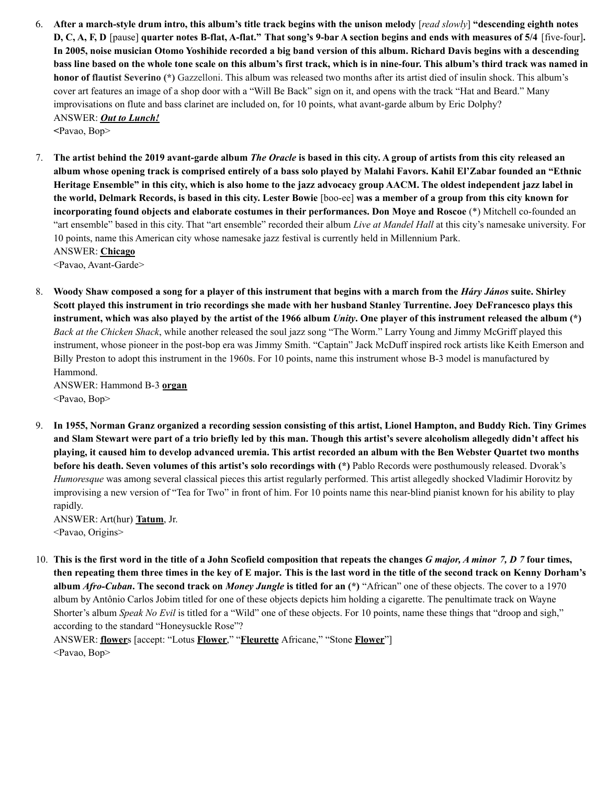6. After a march-style drum intro, this album's title track begins with the unison melody [read slowly] "descending eighth notes D, C, A, F, D [pause] quarter notes B-flat, A-flat." That song's 9-bar A section begins and ends with measures of 5/4 [five-four]. In 2005, noise musician Otomo Yoshihide recorded a big band version of this album. Richard Davis begins with a descending bass line based on the whole tone scale on this album's first track, which is in nine-four. This album's third track was named in **honor of flautist Severino (\*)** Gazzelloni. This album was released two months after its artist died of insulin shock. This album's cover art features an image of a shop door with a "Will Be Back" sign on it, and opens with the track "Hat and Beard." Many improvisations on flute and bass clarinet are included on, for 10 points, what avant-garde album by Eric Dolphy? ANSWER: *Out to Lunch!*

**<**Pavao, Bop>

7. The artist behind the 2019 avant-garde album The Oracle is based in this city. A group of artists from this city released an album whose opening track is comprised entirely of a bass solo played by Malahi Favors. Kahil El'Zabar founded an "Ethnic Heritage Ensemble" in this city, which is also home to the jazz advocacy group AACM. The oldest independent jazz label in the world, Delmark Records, is based in this city. Lester Bowie [boo-ee] was a member of a group from this city known for **incorporating found objects and elaborate costumes in their performances. Don Moye and Roscoe** (\*) Mitchell co-founded an "art ensemble" based in this city. That "art ensemble" recorded their album *Live at Mandel Hall* at this city's namesake university. For 10 points, name this American city whose namesake jazz festival is currently held in Millennium Park. ANSWER: **Chicago**

<Pavao, Avant-Garde>

8. Woody Shaw composed a song for a player of this instrument that begins with a march from the *Háry János* suite. Shirley Scott played this instrument in trio recordings she made with her husband Stanley Turrentine. Joey DeFrancesco plays this instrument, which was also played by the artist of the 1966 album *Unity*. One player of this instrument released the album  $(*)$ *Back at the Chicken Shack*, while another released the soul jazz song "The Worm." Larry Young and Jimmy McGriff played this instrument, whose pioneer in the post-bop era was Jimmy Smith. "Captain" Jack McDuff inspired rock artists like Keith Emerson and Billy Preston to adopt this instrument in the 1960s. For 10 points, name this instrument whose B-3 model is manufactured by Hammond.

ANSWER: Hammond B-3 **organ** <Pavao, Bop>

9. In 1955, Norman Granz organized a recording session consisting of this artist, Lionel Hampton, and Buddy Rich. Tiny Grimes and Slam Stewart were part of a trio briefly led by this man. Though this artist's severe alcoholism allegedly didn't affect his playing, it caused him to develop advanced uremia. This artist recorded an album with the Ben Webster Quartet two months **before his death. Seven volumes of this artist's solo recordings with (\*)** Pablo Records were posthumously released. Dvorak's *Humoresque* was among several classical pieces this artist regularly performed. This artist allegedly shocked Vladimir Horovitz by improvising a new version of "Tea for Two" in front of him. For 10 points name this near-blind pianist known for his ability to play rapidly.

ANSWER: Art(hur) **Tatum**, Jr. <Pavao, Origins>

10. This is the first word in the title of a John Scofield composition that repeats the changes G major, A minor 7, D 7 four times, then repeating them three times in the key of E major. This is the last word in the title of the second track on Kenny Dorham's **album** *Afro-Cuban***. The second track on** *Money Jungle* **is titled for an (\*)** "African" one of these objects. The cover to a 1970 album by Antônio Carlos Jobim titled for one of these objects depicts him holding a cigarette. The penultimate track on Wayne Shorter's album *Speak No Evil* is titled for a "Wild" one of these objects. For 10 points, name these things that "droop and sigh," according to the standard "Honeysuckle Rose"?

ANSWER: **flower**s [accept: "Lotus **Flower**," "**Fleurette** Africane," "Stone **Flower**"] <Pavao, Bop>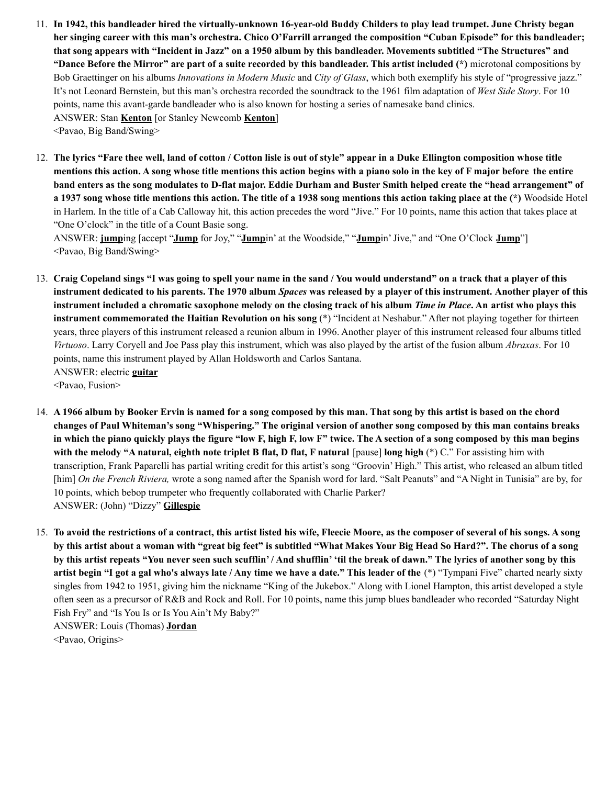- 11. In 1942, this bandleader hired the virtually-unknown 16-year-old Buddy Childers to play lead trumpet. June Christy began her singing career with this man's orchestra. Chico O'Farrill arranged the composition "Cuban Episode" for this bandleader; that song appears with "Incident in Jazz" on a 1950 album by this bandleader. Movements subtitled "The Structures" and "Dance Before the Mirror" are part of a suite recorded by this bandleader. This artist included (\*) microtonal compositions by Bob Graettinger on his albums *Innovations in Modern Music* and *City of Glass*, which both exemplify his style of "progressive jazz." It's not Leonard Bernstein, but this man's orchestra recorded the soundtrack to the 1961 film adaptation of *West Side Story*. For 10 points, name this avant-garde bandleader who is also known for hosting a series of namesake band clinics. ANSWER: Stan **Kenton** [or Stanley Newcomb **Kenton**] <Pavao, Big Band/Swing>
- 12. The lyrics "Fare thee well, land of cotton / Cotton lisle is out of style" appear in a Duke Ellington composition whose title mentions this action. A song whose title mentions this action begins with a piano solo in the key of F major before the entire band enters as the song modulates to D-flat major. Eddie Durham and Buster Smith helped create the "head arrangement" of a 1937 song whose title mentions this action. The title of a 1938 song mentions this action taking place at the (\*) Woodside Hotel in Harlem. In the title of a Cab Calloway hit, this action precedes the word "Jive." For 10 points, name this action that takes place at "One O'clock" in the title of a Count Basie song.

ANSWER: **jump**ing [accept "**Jump** for Joy," "**Jump**in' at the Woodside," "**Jump**in'Jive," and "One O'Clock **Jump**"] <Pavao, Big Band/Swing>

- 13. Craig Copeland sings "I was going to spell your name in the sand / You would understand" on a track that a player of this instrument dedicated to his parents. The 1970 album Spaces was released by a player of this instrument. Another player of this instrument included a chromatic saxophone melody on the closing track of his album Time in Place. An artist who plays this **instrument commemorated the Haitian Revolution on his song** (\*) "Incident at Neshabur." After not playing together for thirteen years, three players of this instrument released a reunion album in 1996. Another player of this instrument released four albums titled *Virtuoso*. Larry Coryell and Joe Pass play this instrument, which was also played by the artist of the fusion album *Abraxas*. For 10 points, name this instrument played by Allan Holdsworth and Carlos Santana. ANSWER: electric **guitar** <Pavao, Fusion>
- 14. A 1966 album by Booker Ervin is named for a song composed by this man. That song by this artist is based on the chord changes of Paul Whiteman's song "Whispering." The original version of another song composed by this man contains breaks in which the piano quickly plays the figure "low F, high F, low F" twice. The A section of a song composed by this man begins with the melody "A natural, eighth note triplet B flat, D flat, F natural [pause] long high  $(*)$  C." For assisting him with transcription, Frank Paparelli has partial writing credit for this artist's song "Groovin' High." This artist, who released an album titled [him] *On the French Riviera,* wrote a song named after the Spanish word for lard. "Salt Peanuts" and "A Night in Tunisia" are by, for 10 points, which bebop trumpeter who frequently collaborated with Charlie Parker? ANSWER: (John) "Dizzy" **Gillespie**
- 15. To avoid the restrictions of a contract, this artist listed his wife, Fleecie Moore, as the composer of several of his songs. A song by this artist about a woman with "great big feet" is subtitled "What Makes Your Big Head So Hard?". The chorus of a song by this artist repeats "You never seen such scufflin'/And shufflin' 'til the break of dawn." The lyrics of another song by this artist begin "I got a gal who's always late / Any time we have a date." This leader of the (\*) "Tympani Five" charted nearly sixty singles from 1942 to 1951, giving him the nickname "King of the Jukebox." Along with Lionel Hampton, this artist developed a style often seen as a precursor of R&B and Rock and Roll. For 10 points, name this jump blues bandleader who recorded "Saturday Night Fish Fry" and "Is You Is or Is You Ain't My Baby?" ANSWER: Louis (Thomas) **Jordan**

<Pavao, Origins>